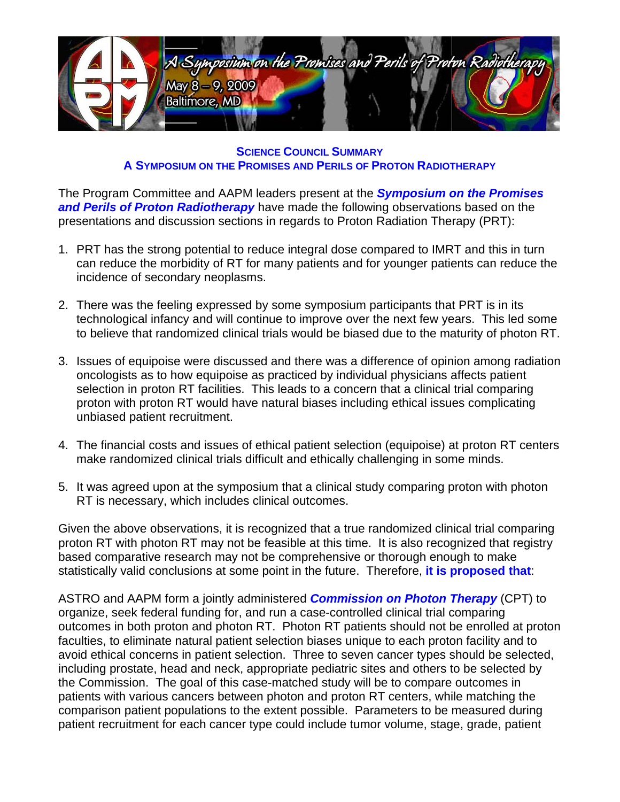

**SCIENCE COUNCIL SUMMARY A SYMPOSIUM ON THE PROMISES AND PERILS OF PROTON RADIOTHERAPY**

The Program Committee and AAPM leaders present at the *Symposium on the Promises and Perils of Proton Radiotherapy* have made the following observations based on the presentations and discussion sections in regards to Proton Radiation Therapy (PRT):

- 1. PRT has the strong potential to reduce integral dose compared to IMRT and this in turn can reduce the morbidity of RT for many patients and for younger patients can reduce the incidence of secondary neoplasms.
- 2. There was the feeling expressed by some symposium participants that PRT is in its technological infancy and will continue to improve over the next few years. This led some to believe that randomized clinical trials would be biased due to the maturity of photon RT.
- 3. Issues of equipoise were discussed and there was a difference of opinion among radiation oncologists as to how equipoise as practiced by individual physicians affects patient selection in proton RT facilities. This leads to a concern that a clinical trial comparing proton with proton RT would have natural biases including ethical issues complicating unbiased patient recruitment.
- 4. The financial costs and issues of ethical patient selection (equipoise) at proton RT centers make randomized clinical trials difficult and ethically challenging in some minds.
- 5. It was agreed upon at the symposium that a clinical study comparing proton with photon RT is necessary, which includes clinical outcomes.

Given the above observations, it is recognized that a true randomized clinical trial comparing proton RT with photon RT may not be feasible at this time. It is also recognized that registry based comparative research may not be comprehensive or thorough enough to make statistically valid conclusions at some point in the future. Therefore, **it is proposed that**:

ASTRO and AAPM form a jointly administered *Commission on Photon Therapy* (CPT) to organize, seek federal funding for, and run a case-controlled clinical trial comparing outcomes in both proton and photon RT. Photon RT patients should not be enrolled at proton faculties, to eliminate natural patient selection biases unique to each proton facility and to avoid ethical concerns in patient selection. Three to seven cancer types should be selected, including prostate, head and neck, appropriate pediatric sites and others to be selected by the Commission. The goal of this case-matched study will be to compare outcomes in patients with various cancers between photon and proton RT centers, while matching the comparison patient populations to the extent possible. Parameters to be measured during patient recruitment for each cancer type could include tumor volume, stage, grade, patient